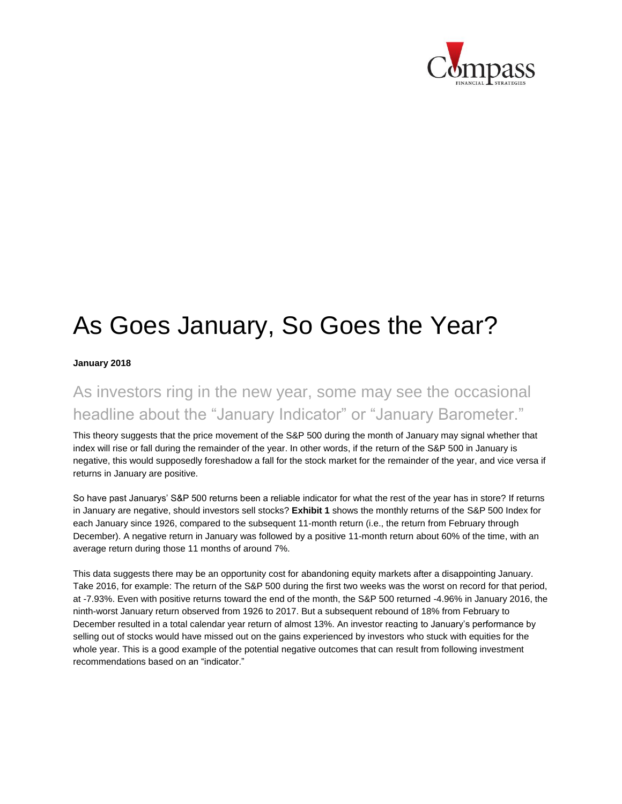

## As Goes January, So Goes the Year?

**January 2018**

## As investors ring in the new year, some may see the occasional headline about the "January Indicator" or "January Barometer."

This theory suggests that the price movement of the S&P 500 during the month of January may signal whether that index will rise or fall during the remainder of the year. In other words, if the return of the S&P 500 in January is negative, this would supposedly foreshadow a fall for the stock market for the remainder of the year, and vice versa if returns in January are positive.

So have past Januarys' S&P 500 returns been a reliable indicator for what the rest of the year has in store? If returns in January are negative, should investors sell stocks? **Exhibit 1** shows the monthly returns of the S&P 500 Index for each January since 1926, compared to the subsequent 11-month return (i.e., the return from February through December). A negative return in January was followed by a positive 11-month return about 60% of the time, with an average return during those 11 months of around 7%.

This data suggests there may be an opportunity cost for abandoning equity markets after a disappointing January. Take 2016, for example: The return of the S&P 500 during the first two weeks was the worst on record for that period, at -7.93%. Even with positive returns toward the end of the month, the S&P 500 returned -4.96% in January 2016, the ninth-worst January return observed from 1926 to 2017. But a subsequent rebound of 18% from February to December resulted in a total calendar year return of almost 13%. An investor reacting to January's performance by selling out of stocks would have missed out on the gains experienced by investors who stuck with equities for the whole year. This is a good example of the potential negative outcomes that can result from following investment recommendations based on an "indicator."